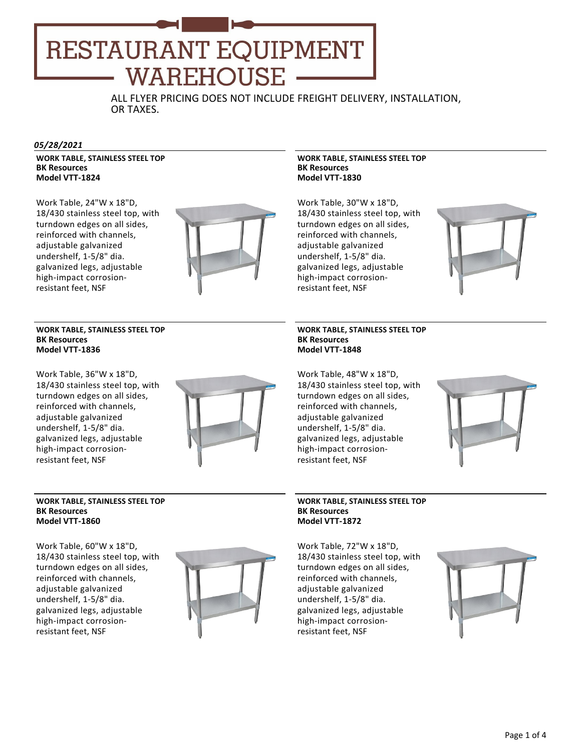# RESTAURANT EQUIPMENT WAREHOUSE

ALL FLYER PRICING DOES NOT INCLUDE FREIGHT DELIVERY, INSTALLATION, OR TAXES.

# *05/28/2021*

**WORK TABLE, STAINLESS STEEL TOP BK Resources Model VTT‐1824**

Work Table, 24"W x 18"D, 18/430 stainless steel top, with turndown edges on all sides, reinforced with channels, adjustable galvanized undershelf, 1‐5/8" dia. galvanized legs, adjustable high‐impact corrosion‐ resistant feet, NSF



# **WORK TABLE, STAINLESS STEEL TOP BK Resources Model VTT‐1836**

Work Table, 36"W x 18"D, 18/430 stainless steel top, with turndown edges on all sides, reinforced with channels, adjustable galvanized undershelf, 1‐5/8" dia. galvanized legs, adjustable high‐impact corrosion‐ resistant feet, NSF



#### **WORK TABLE, STAINLESS STEEL TOP BK Resources Model VTT‐1860**

Work Table, 60"W x 18"D, 18/430 stainless steel top, with turndown edges on all sides, reinforced with channels, adjustable galvanized undershelf, 1‐5/8" dia. galvanized legs, adjustable high‐impact corrosion‐ resistant feet, NSF



# **WORK TABLE, STAINLESS STEEL TOP BK Resources Model VTT‐1830**

Work Table, 30"W x 18"D, 18/430 stainless steel top, with turndown edges on all sides, reinforced with channels, adjustable galvanized undershelf, 1‐5/8" dia. galvanized legs, adjustable high‐impact corrosion‐ resistant feet, NSF



#### **WORK TABLE, STAINLESS STEEL TOP BK Resources Model VTT‐1848**

Work Table, 48"W x 18"D, 18/430 stainless steel top, with turndown edges on all sides, reinforced with channels, adjustable galvanized undershelf, 1‐5/8" dia. galvanized legs, adjustable high‐impact corrosion‐ resistant feet, NSF



# **WORK TABLE, STAINLESS STEEL TOP BK Resources Model VTT‐1872**

Work Table, 72"W x 18"D, 18/430 stainless steel top, with turndown edges on all sides, reinforced with channels, adjustable galvanized undershelf, 1‐5/8" dia. galvanized legs, adjustable high‐impact corrosion‐ resistant feet, NSF

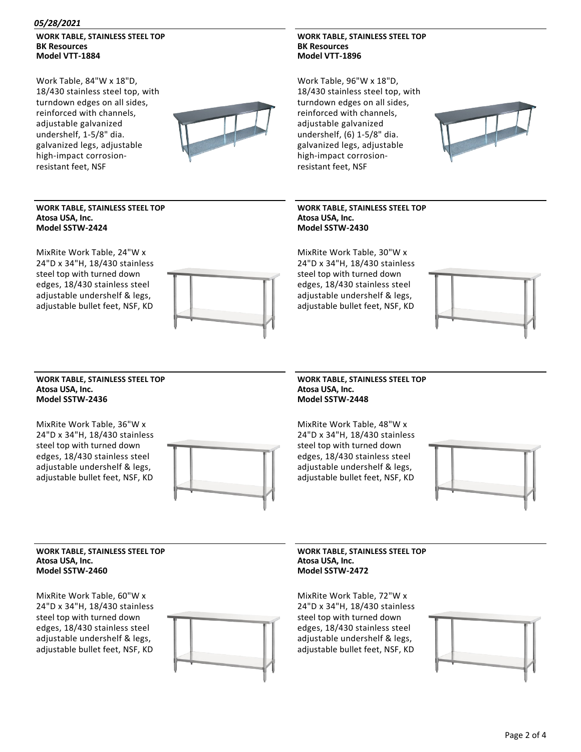# *05/28/2021*

# **WORK TABLE, STAINLESS STEEL TOP BK Resources Model VTT‐1884**

Work Table, 84"W x 18"D, 18/430 stainless steel top, with turndown edges on all sides, reinforced with channels, adjustable galvanized undershelf, 1‐5/8" dia. galvanized legs, adjustable high‐impact corrosion‐ resistant feet, NSF



#### **WORK TABLE, STAINLESS STEEL TOP Atosa USA, Inc. Model SSTW‐2424**

MixRite Work Table, 24"W x 24"D x 34"H, 18/430 stainless steel top with turned down edges, 18/430 stainless steel adjustable undershelf & legs, adjustable bullet feet, NSF, KD



# **WORK TABLE, STAINLESS STEEL TOP BK Resources Model VTT‐1896**

Work Table, 96"W x 18"D, 18/430 stainless steel top, with turndown edges on all sides, reinforced with channels, adjustable galvanized undershelf, (6) 1‐5/8" dia. galvanized legs, adjustable high‐impact corrosion‐ resistant feet, NSF



# **WORK TABLE, STAINLESS STEEL TOP Atosa USA, Inc. Model SSTW‐2430**

MixRite Work Table, 30"W x 24"D x 34"H, 18/430 stainless steel top with turned down edges, 18/430 stainless steel adjustable undershelf & legs, adjustable bullet feet, NSF, KD



#### **WORK TABLE, STAINLESS STEEL TOP Atosa USA, Inc. Model SSTW‐2436**

MixRite Work Table, 36"W x 24"D x 34"H, 18/430 stainless steel top with turned down edges, 18/430 stainless steel adjustable undershelf & legs, adjustable bullet feet, NSF, KD



# **WORK TABLE, STAINLESS STEEL TOP Atosa USA, Inc. Model SSTW‐2448**

MixRite Work Table, 48"W x 24"D x 34"H, 18/430 stainless steel top with turned down edges, 18/430 stainless steel adjustable undershelf & legs, adjustable bullet feet, NSF, KD



#### **WORK TABLE, STAINLESS STEEL TOP Atosa USA, Inc. Model SSTW‐2460**

MixRite Work Table, 60"W x 24"D x 34"H, 18/430 stainless steel top with turned down edges, 18/430 stainless steel adjustable undershelf & legs, adjustable bullet feet, NSF, KD



# **WORK TABLE, STAINLESS STEEL TOP Atosa USA, Inc. Model SSTW‐2472**

MixRite Work Table, 72"W x 24"D x 34"H, 18/430 stainless steel top with turned down edges, 18/430 stainless steel adjustable undershelf & legs, adjustable bullet feet, NSF, KD

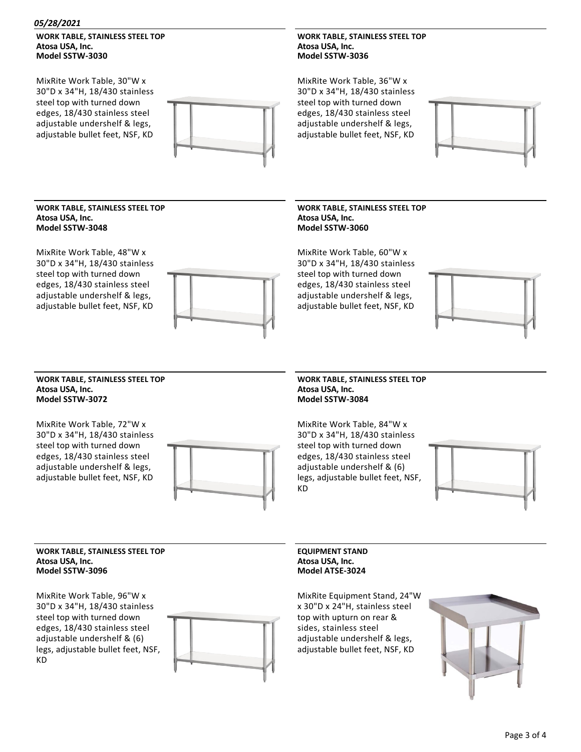#### *05/28/2021*

# **WORK TABLE, STAINLESS STEEL TOP Atosa USA, Inc. Model SSTW‐3030**

MixRite Work Table, 30"W x 30"D x 34"H, 18/430 stainless steel top with turned down edges, 18/430 stainless steel adjustable undershelf & legs, adjustable bullet feet, NSF, KD



# **WORK TABLE, STAINLESS STEEL TOP Atosa USA, Inc. Model SSTW‐3036**

MixRite Work Table, 36"W x 30"D x 34"H, 18/430 stainless steel top with turned down edges, 18/430 stainless steel adjustable undershelf & legs, adjustable bullet feet, NSF, KD



#### **WORK TABLE, STAINLESS STEEL TOP Atosa USA, Inc. Model SSTW‐3048**

MixRite Work Table, 48"W x 30"D x 34"H, 18/430 stainless steel top with turned down edges, 18/430 stainless steel adjustable undershelf & legs, adjustable bullet feet, NSF, KD



# **WORK TABLE, STAINLESS STEEL TOP Atosa USA, Inc. Model SSTW‐3060**

MixRite Work Table, 60"W x 30"D x 34"H, 18/430 stainless steel top with turned down edges, 18/430 stainless steel adjustable undershelf & legs, adjustable bullet feet, NSF, KD



#### **WORK TABLE, STAINLESS STEEL TOP Atosa USA, Inc. Model SSTW‐3072**

MixRite Work Table, 72"W x 30"D x 34"H, 18/430 stainless steel top with turned down edges, 18/430 stainless steel adjustable undershelf & legs, adjustable bullet feet, NSF, KD



## **WORK TABLE, STAINLESS STEEL TOP Atosa USA, Inc. Model SSTW‐3084**

MixRite Work Table, 84"W x 30"D x 34"H, 18/430 stainless steel top with turned down edges, 18/430 stainless steel adjustable undershelf & (6) legs, adjustable bullet feet, NSF, KD



#### **WORK TABLE, STAINLESS STEEL TOP Atosa USA, Inc. Model SSTW‐3096**

MixRite Work Table, 96"W x 30"D x 34"H, 18/430 stainless steel top with turned down edges, 18/430 stainless steel adjustable undershelf & (6) legs, adjustable bullet feet, NSF, KD



**EQUIPMENT STAND Atosa USA, Inc. Model ATSE‐3024**

MixRite Equipment Stand, 24"W x 30"D x 24"H, stainless steel top with upturn on rear & sides, stainless steel adjustable undershelf & legs, adjustable bullet feet, NSF, KD